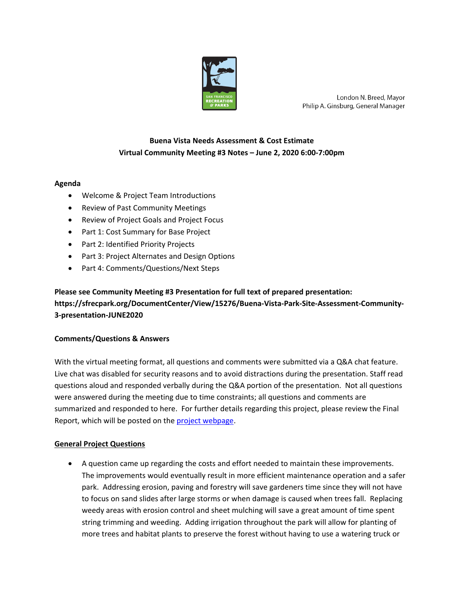

London N. Breed, Mayor Philip A. Ginsburg, General Manager

# **Buena Vista Needs Assessment & Cost Estimate Virtual Community Meeting #3 Notes – June 2, 2020 6:00-7:00pm**

# **Agenda**

- Welcome & Project Team Introductions
- Review of Past Community Meetings
- Review of Project Goals and Project Focus
- Part 1: Cost Summary for Base Project
- Part 2: Identified Priority Projects
- Part 3: Project Alternates and Design Options
- Part 4: Comments/Questions/Next Steps

# **Please see Community Meeting #3 Presentation for full text of prepared presentation: https://sfrecpark.org/DocumentCenter/View/15276/Buena-Vista-Park-Site-Assessment-Community-3-presentation-JUNE2020**

### **Comments/Questions & Answers**

With the virtual meeting format, all questions and comments were submitted via a Q&A chat feature. Live chat was disabled for security reasons and to avoid distractions during the presentation. Staff read questions aloud and responded verbally during the Q&A portion of the presentation. Not all questions were answered during the meeting due to time constraints; all questions and comments are summarized and responded to here. For further details regarding this project, please review the Final Report, which will be posted on the [project webpage.](https://sfrecpark.org/1372/Buena-Vista-Park-Needs-Assessment-Cost-A)

### **General Project Questions**

• A question came up regarding the costs and effort needed to maintain these improvements. The improvements would eventually result in more efficient maintenance operation and a safer park. Addressing erosion, paving and forestry will save gardeners time since they will not have to focus on sand slides after large storms or when damage is caused when trees fall. Replacing weedy areas with erosion control and sheet mulching will save a great amount of time spent string trimming and weeding. Adding irrigation throughout the park will allow for planting of more trees and habitat plants to preserve the forest without having to use a watering truck or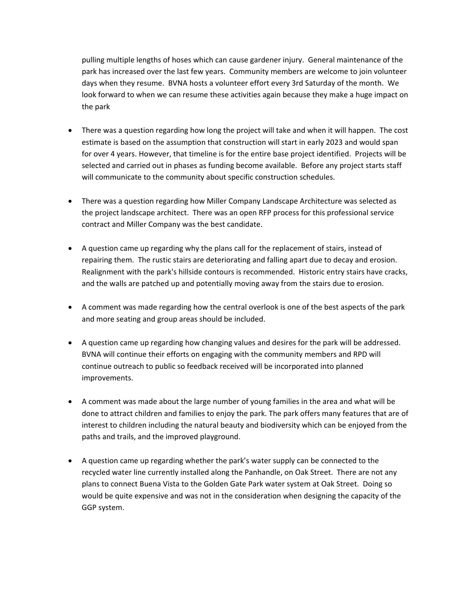pulling multiple lengths of hoses which can cause gardener injury. General maintenance of the park has increased over the last few years. Community members are welcome to join volunteer days when they resume. BVNA hosts a volunteer effort every 3rd Saturday of the month. We look forward to when we can resume these activities again because they make a huge impact on the park

- There was a question regarding how long the project will take and when it will happen. The cost estimate is based on the assumption that construction will start in early 2023 and would span for over 4 years. However, that timeline is for the entire base project identified. Projects will be selected and carried out in phases as funding become available. Before any project starts staff will communicate to the community about specific construction schedules.
- There was a question regarding how Miller Company Landscape Architecture was selected as the project landscape architect. There was an open RFP process for this professional service contract and Miller Company was the best candidate.
- A question came up regarding why the plans call for the replacement of stairs, instead of repairing them. The rustic stairs are deteriorating and falling apart due to decay and erosion. Realignment with the park's hillside contours is recommended. Historic entry stairs have cracks, and the walls are patched up and potentially moving away from the stairs due to erosion.
- A comment was made regarding how the central overlook is one of the best aspects of the park and more seating and group areas should be included.
- A question came up regarding how changing values and desires for the park will be addressed. BVNA will continue their efforts on engaging with the community members and RPD will continue outreach to public so feedback received will be incorporated into planned improvements.
- A comment was made about the large number of young families in the area and what will be done to attract children and families to enjoy the park. The park offers many features that are of interest to children including the natural beauty and biodiversity which can be enjoyed from the paths and trails, and the improved playground.
- A question came up regarding whether the park's water supply can be connected to the recycled water line currently installed along the Panhandle, on Oak Street. There are not any plans to connect Buena Vista to the Golden Gate Park water system at Oak Street. Doing so would be quite expensive and was not in the consideration when designing the capacity of the GGP system.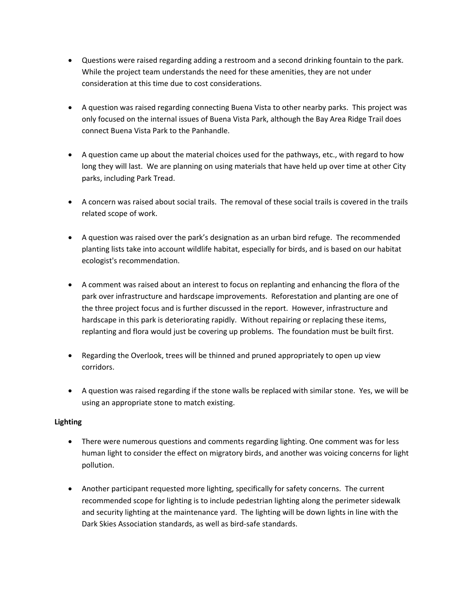- Questions were raised regarding adding a restroom and a second drinking fountain to the park. While the project team understands the need for these amenities, they are not under consideration at this time due to cost considerations.
- A question was raised regarding connecting Buena Vista to other nearby parks. This project was only focused on the internal issues of Buena Vista Park, although the Bay Area Ridge Trail does connect Buena Vista Park to the Panhandle.
- A question came up about the material choices used for the pathways, etc., with regard to how long they will last. We are planning on using materials that have held up over time at other City parks, including Park Tread.
- A concern was raised about social trails. The removal of these social trails is covered in the trails related scope of work.
- A question was raised over the park's designation as an urban bird refuge. The recommended planting lists take into account wildlife habitat, especially for birds, and is based on our habitat ecologist's recommendation.
- A comment was raised about an interest to focus on replanting and enhancing the flora of the park over infrastructure and hardscape improvements. Reforestation and planting are one of the three project focus and is further discussed in the report. However, infrastructure and hardscape in this park is deteriorating rapidly. Without repairing or replacing these items, replanting and flora would just be covering up problems. The foundation must be built first.
- Regarding the Overlook, trees will be thinned and pruned appropriately to open up view corridors.
- A question was raised regarding if the stone walls be replaced with similar stone. Yes, we will be using an appropriate stone to match existing.

# **Lighting**

- There were numerous questions and comments regarding lighting. One comment was for less human light to consider the effect on migratory birds, and another was voicing concerns for light pollution.
- Another participant requested more lighting, specifically for safety concerns. The current recommended scope for lighting is to include pedestrian lighting along the perimeter sidewalk and security lighting at the maintenance yard. The lighting will be down lights in line with the Dark Skies Association standards, as well as bird-safe standards.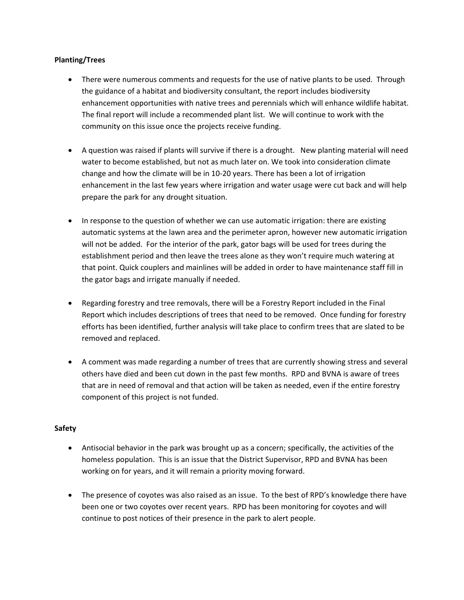## **Planting/Trees**

- There were numerous comments and requests for the use of native plants to be used. Through the guidance of a habitat and biodiversity consultant, the report includes biodiversity enhancement opportunities with native trees and perennials which will enhance wildlife habitat. The final report will include a recommended plant list. We will continue to work with the community on this issue once the projects receive funding.
- A question was raised if plants will survive if there is a drought. New planting material will need water to become established, but not as much later on. We took into consideration climate change and how the climate will be in 10-20 years. There has been a lot of irrigation enhancement in the last few years where irrigation and water usage were cut back and will help prepare the park for any drought situation.
- In response to the question of whether we can use automatic irrigation: there are existing automatic systems at the lawn area and the perimeter apron, however new automatic irrigation will not be added. For the interior of the park, gator bags will be used for trees during the establishment period and then leave the trees alone as they won't require much watering at that point. Quick couplers and mainlines will be added in order to have maintenance staff fill in the gator bags and irrigate manually if needed.
- Regarding forestry and tree removals, there will be a Forestry Report included in the Final Report which includes descriptions of trees that need to be removed. Once funding for forestry efforts has been identified, further analysis will take place to confirm trees that are slated to be removed and replaced.
- A comment was made regarding a number of trees that are currently showing stress and several others have died and been cut down in the past few months. RPD and BVNA is aware of trees that are in need of removal and that action will be taken as needed, even if the entire forestry component of this project is not funded.

### **Safety**

- Antisocial behavior in the park was brought up as a concern; specifically, the activities of the homeless population. This is an issue that the District Supervisor, RPD and BVNA has been working on for years, and it will remain a priority moving forward.
- The presence of coyotes was also raised as an issue. To the best of RPD's knowledge there have been one or two coyotes over recent years. RPD has been monitoring for coyotes and will continue to post notices of their presence in the park to alert people.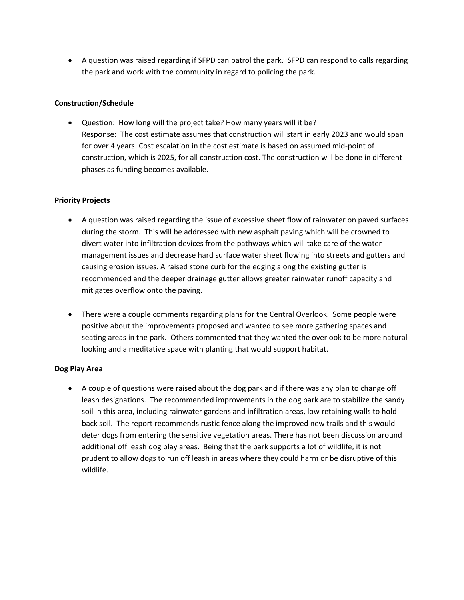• A question was raised regarding if SFPD can patrol the park. SFPD can respond to calls regarding the park and work with the community in regard to policing the park.

## **Construction/Schedule**

• Question: How long will the project take? How many years will it be? Response: The cost estimate assumes that construction will start in early 2023 and would span for over 4 years. Cost escalation in the cost estimate is based on assumed mid-point of construction, which is 2025, for all construction cost. The construction will be done in different phases as funding becomes available.

## **Priority Projects**

- A question was raised regarding the issue of excessive sheet flow of rainwater on paved surfaces during the storm. This will be addressed with new asphalt paving which will be crowned to divert water into infiltration devices from the pathways which will take care of the water management issues and decrease hard surface water sheet flowing into streets and gutters and causing erosion issues. A raised stone curb for the edging along the existing gutter is recommended and the deeper drainage gutter allows greater rainwater runoff capacity and mitigates overflow onto the paving.
- There were a couple comments regarding plans for the Central Overlook. Some people were positive about the improvements proposed and wanted to see more gathering spaces and seating areas in the park. Others commented that they wanted the overlook to be more natural looking and a meditative space with planting that would support habitat.

### **Dog Play Area**

• A couple of questions were raised about the dog park and if there was any plan to change off leash designations. The recommended improvements in the dog park are to stabilize the sandy soil in this area, including rainwater gardens and infiltration areas, low retaining walls to hold back soil. The report recommends rustic fence along the improved new trails and this would deter dogs from entering the sensitive vegetation areas. There has not been discussion around additional off leash dog play areas. Being that the park supports a lot of wildlife, it is not prudent to allow dogs to run off leash in areas where they could harm or be disruptive of this wildlife.